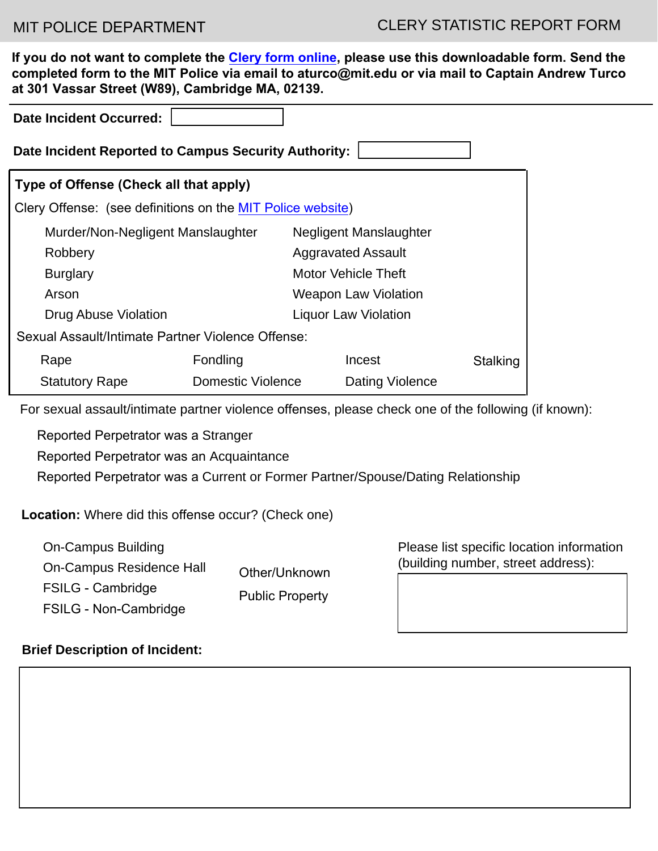**If you do not want to complete the [Clery form online,](https://police.mit.edu/clery-report-csas) please use this downloadable form. Send the completed form to the MIT Police via email to aturco@mit.edu or via mail to Captain Andrew Turco at 301 Vassar Street (W89), Cambridge MA, 02139.**

| <b>Date Incident Occurred:</b>                                                                       |                   |                             |                             |          |  |
|------------------------------------------------------------------------------------------------------|-------------------|-----------------------------|-----------------------------|----------|--|
| Date Incident Reported to Campus Security Authority:                                                 |                   |                             |                             |          |  |
| Type of Offense (Check all that apply)                                                               |                   |                             |                             |          |  |
| Clery Offense: (see definitions on the MIT Police website)                                           |                   |                             |                             |          |  |
| Murder/Non-Negligent Manslaughter<br><b>Negligent Manslaughter</b>                                   |                   |                             |                             |          |  |
| Robbery                                                                                              |                   |                             | <b>Aggravated Assault</b>   |          |  |
| <b>Burglary</b>                                                                                      |                   |                             | <b>Motor Vehicle Theft</b>  |          |  |
| Arson                                                                                                |                   |                             | <b>Weapon Law Violation</b> |          |  |
| <b>Drug Abuse Violation</b>                                                                          |                   | <b>Liquor Law Violation</b> |                             |          |  |
| Sexual Assault/Intimate Partner Violence Offense:                                                    |                   |                             |                             |          |  |
| Rape                                                                                                 | Fondling          |                             | Incest                      | Stalking |  |
| <b>Statutory Rape</b>                                                                                | Domestic Violence |                             | Dating Violence             |          |  |
| For sexual assault/intimate partner violence offenses, please check one of the following (if known): |                   |                             |                             |          |  |

 $\bigcirc$  Reported Perpetrator was a Stranger

 $\bigcirc$  Reported Perpetrator was an Acquaintance

 $\bigcirc$  Reported Perpetrator was a Current or Former Partner/Spouse/Dating Relationship

**Location:** Where did this offense occur? (Check one)

- □ On-Campus Building
- On-Campus Residence Hall
- □ FSILG Cambridge
- Public Property
- FSILG Non-Cambridge

Other/Unknown

Please list specific location information (building number, street address):

# **Brief Description of Incident:**